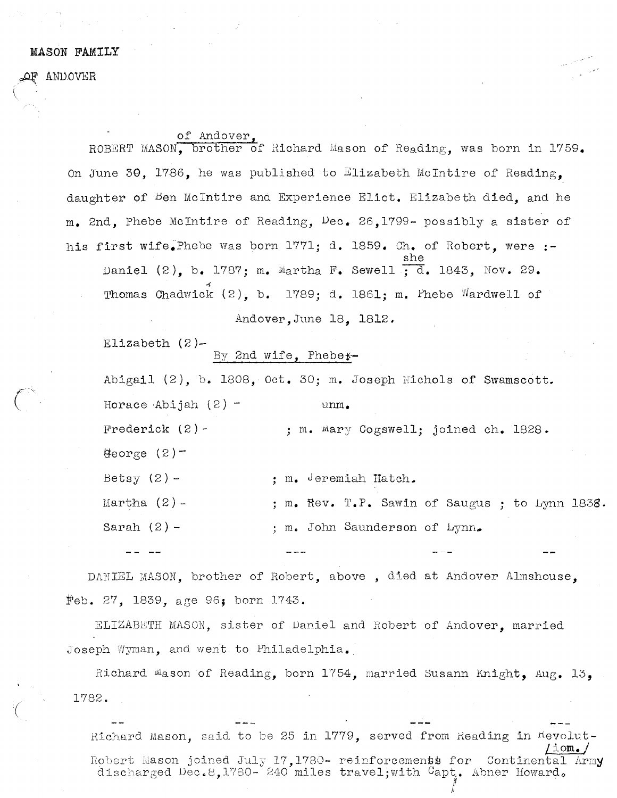## MASON FAMIIJY

ANDOVER

of Andover,

ROBERT MASON, brother of Richard Mason of Reading, was born in 1759. On June 30. 1786, he was published to Elizabeth McIntire of Reading. daughter of <sup>B</sup>en McIntire and Experience Eliot. Elizabeth died, and he m. 2nd, Phebe Mclntire of Reading, Dec. 26,1799- possibly <sup>a</sup> sister of his first wife. Phebe was born 1771; d. 1859. Ch. of Robert. were :she Daniel  $(2)$ , b. 1787; m. Martha F. Sewell  $\overline{d}$ . 1843, Nov. 29. Thomas Chadwick  $(2)$ , b. 1789; d. 1861; m. Phebe Wardwell of

Andover,June 18, 1812.

Elizabeth (2)—

## By 2nd wife, Phebe\*-

Abigail  $(2)$ , b. 1808, Oct. 30; m. Joseph Nichols of Swamscott. Horace Abijah  $(2)$  - unm. Frederick  $(2)$  - ; m. Mary Cogswell; joined ch. 1828. eorge (2) betsy (2) — ; m. Jeremiah Hatch. Martha (2) -  $\;$  ; m. Rev. T.P. Sawin of Saugus ; to Lynn 1838. Sarah  $(2)$  - ; m. John Saunderson of Lynn.

DANIEL MASON, brother of Robert, above , died at Andover Almshouse, feb. 27, 1839, age 96, born 1743.

ELIZABETH MASOI, sister of Daniel and Robert of Andover, married Joseph Wgnan, and went to Philadelphia.

Richard Mason of Reading, born 1754, married Susann Knight, Aug. 13, 1782.

Richard Mason, said to be 25 in  $1779$ , served from Reading in  $R$ evolut-Liom./<br>Robert Mason joined July 17,1780- reinforcements for Continental Army<br>discharged Dec.8,1780- 240 miles travel;with <sup>C</sup>apt. Abner Howard。 discharged Dec.8,1780- 240 miles travel;with Capt. Abner Howard.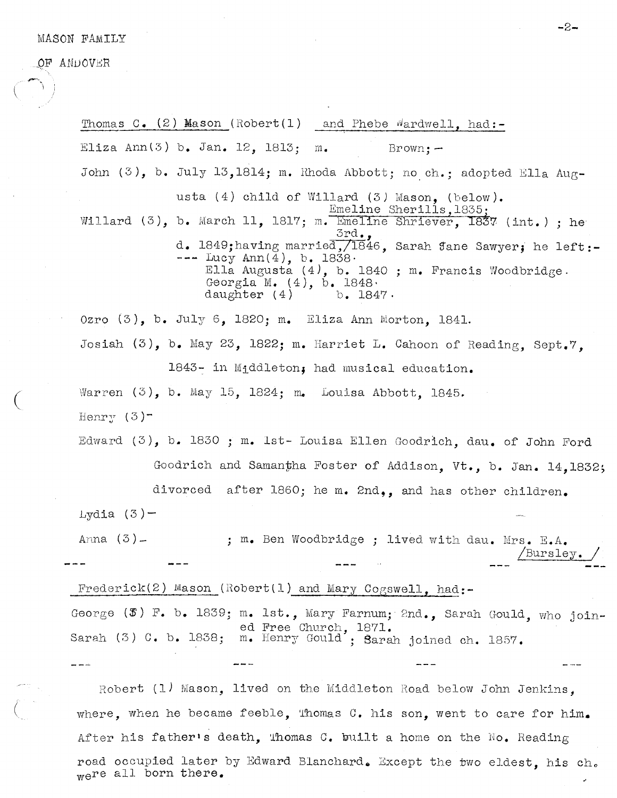## MASON FAMILY

OF ANDOVER

Thomas C.  $(2)$  Mason (Robert(1) and Phebe Wardwell, had:-Eliza Ann $(3)$  b. Jan. 12, 1813; m. Brown: -John  $(3)$ , b. July 13,1814; m. Rhoda Abbott; no ch.; adopted Ella Augusta (4) child of Willard (3) Mason, (below). Emeline Sherills,1835 Willard (3), b. March 11, 1817; m. Emeline Shriever, 1837 (int.); he 3rd., d. 1849; having married, /1846, Sarah Jane Sawyer; he left:- $---$  Lucy Ann $(4)$ , b. 1838 $-$ Ella Augusta (4), b. 1840 ; m. Francis Woodbridge. Georgia M.  $(4)$ , b. 1848,<br>daughter  $(4)$  b. 1847. daughter  $(4)$ Ozro (3), b. July 6, 1820; m. Eliza Ann Morton, 1841. Josiah  $(3)$ , b. May 23, 1822; m. Harriet L. Cahoon of Reading, Sept.7. 1843- in Middleton, had musical education. Warren  $(3)$ , b. May 15, 1824; m. Louisa Abbott, 1845. Henry  $(3)$ -Edward (3), b. 1830 ; m. 1st- Louisa Ellen Goodrich, dau. of John Ford Goodrich and Samantha Foster of Addison, Vt., b. Jan. 14,1832; divorced after 1860; he m. 2nd,, and has other children. Lydia  $(3)$  – Anna (3) - ; m. Ben Woodbridge ; lived with dau. Mrs. E.A. /Bursley. Frederick(2) Mason (Robert(1) and Mary Cogswell, had:-George  $(\mathcal{F})$  F. b. 1839; m. 1st., Mary Farnum; 2nd., Sarah Gould, who joined Free Church, 1871. Sarah (3) C. b. 1838; m. Henry Gould'; Sarah joined ch. 1857. Robert (1) Mason, lived on the Middleton Road below John Jenkins, where, when he became feeble, Thomas C. his son, went to care for him.

After his father's death, Thomas C. built a home on the No. Reading road occupied later by Edward Blanchard. Except the two eldest, his ch. were all born there.

—2—